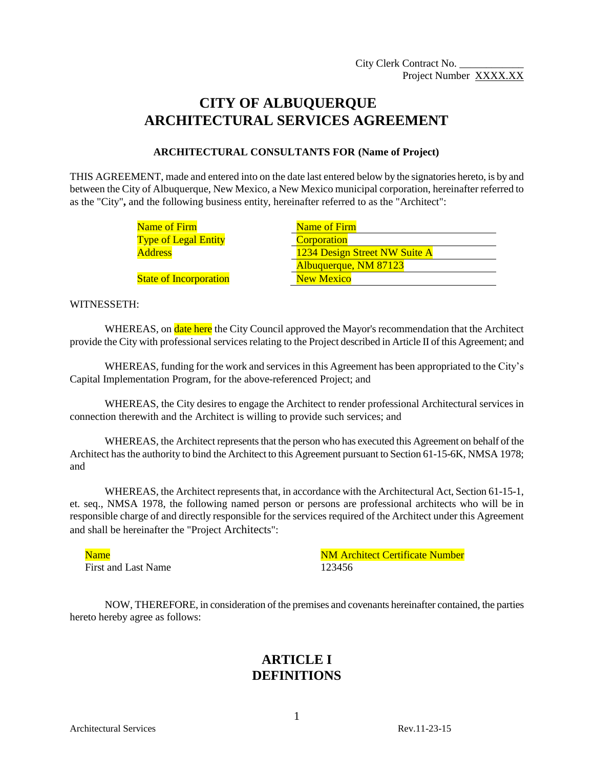# **CITY OF ALBUQUERQUE ARCHITECTURAL SERVICES AGREEMENT**

#### **ARCHITECTURAL CONSULTANTS FOR (Name of Project)**

THIS AGREEMENT, made and entered into on the date last entered below by the signatories hereto, is by and between the City of Albuquerque, New Mexico, a New Mexico municipal corporation, hereinafter referred to as the "City"**,** and the following business entity, hereinafter referred to as the "Architect":

| <b>Name of Firm</b>           | <b>Name of Firm</b>           |
|-------------------------------|-------------------------------|
| <b>Type of Legal Entity</b>   | Corporation                   |
| <b>Address</b>                | 1234 Design Street NW Suite A |
|                               | Albuquerque, NM 87123         |
| <b>State of Incorporation</b> | <b>New Mexico</b>             |

#### WITNESSETH:

WHEREAS, on **date here** the City Council approved the Mayor's recommendation that the Architect provide the City with professional services relating to the Project described in Article II of this Agreement; and

WHEREAS, funding for the work and services in this Agreement has been appropriated to the City's Capital Implementation Program, for the above-referenced Project; and

WHEREAS, the City desires to engage the Architect to render professional Architectural services in connection therewith and the Architect is willing to provide such services; and

WHEREAS, the Architect represents that the person who has executed this Agreement on behalf of the Architect has the authority to bind the Architect to this Agreement pursuant to Section 61-15-6K, NMSA 1978; and

WHEREAS, the Architect represents that, in accordance with the Architectural Act, Section 61-15-1, et. seq., NMSA 1978, the following named person or persons are professional architects who will be in responsible charge of and directly responsible for the services required of the Architect under this Agreement and shall be hereinafter the "Project Architects":

First and Last Name 123456

Name Number Number 2012 12:30 NM Architect Certificate Number

NOW, THEREFORE, in consideration of the premises and covenants hereinafter contained, the parties hereto hereby agree as follows:

## **ARTICLE I DEFINITIONS**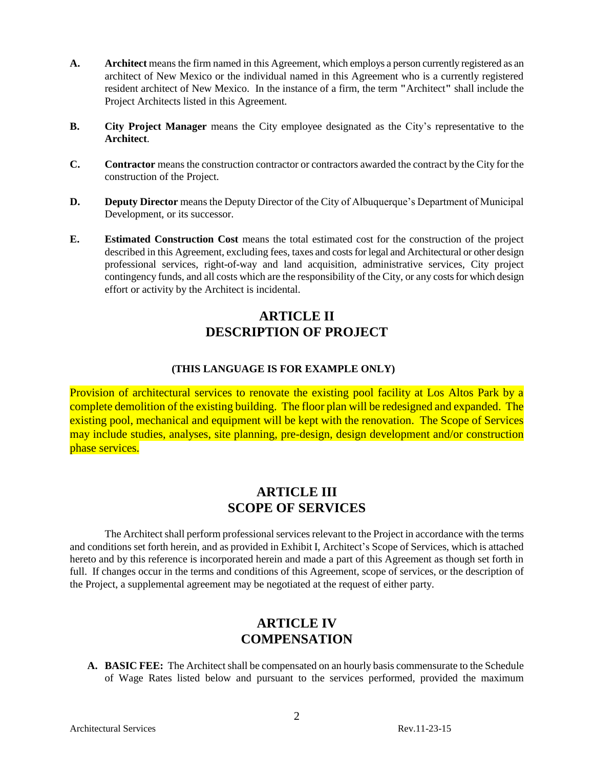- **A. Architect** means the firm named in this Agreement, which employs a person currently registered as an architect of New Mexico or the individual named in this Agreement who is a currently registered resident architect of New Mexico. In the instance of a firm, the term **"**Architect**"** shall include the Project Architects listed in this Agreement.
- **B. City Project Manager** means the City employee designated as the City's representative to the **Architect**.
- **C. Contractor** means the construction contractor or contractors awarded the contract by the City for the construction of the Project.
- **D. Deputy Director** means the Deputy Director of the City of Albuquerque's Department of Municipal Development, or its successor.
- **E. Estimated Construction Cost** means the total estimated cost for the construction of the project described in this Agreement, excluding fees, taxes and costs for legal and Architectural or other design professional services, right-of-way and land acquisition, administrative services, City project contingency funds, and all costs which are the responsibility of the City, or any costs for which design effort or activity by the Architect is incidental.

# **ARTICLE II DESCRIPTION OF PROJECT**

#### **(THIS LANGUAGE IS FOR EXAMPLE ONLY)**

Provision of architectural services to renovate the existing pool facility at Los Altos Park by a complete demolition of the existing building. The floor plan will be redesigned and expanded. The existing pool, mechanical and equipment will be kept with the renovation. The Scope of Services may include studies, analyses, site planning, pre-design, design development and/or construction phase services.

## **ARTICLE III SCOPE OF SERVICES**

The Architect shall perform professional services relevant to the Project in accordance with the terms and conditions set forth herein, and as provided in Exhibit I, Architect's Scope of Services, which is attached hereto and by this reference is incorporated herein and made a part of this Agreement as though set forth in full. If changes occur in the terms and conditions of this Agreement, scope of services, or the description of the Project, a supplemental agreement may be negotiated at the request of either party.

## **ARTICLE IV COMPENSATION**

**A. BASIC FEE:** The Architect shall be compensated on an hourly basis commensurate to the Schedule of Wage Rates listed below and pursuant to the services performed, provided the maximum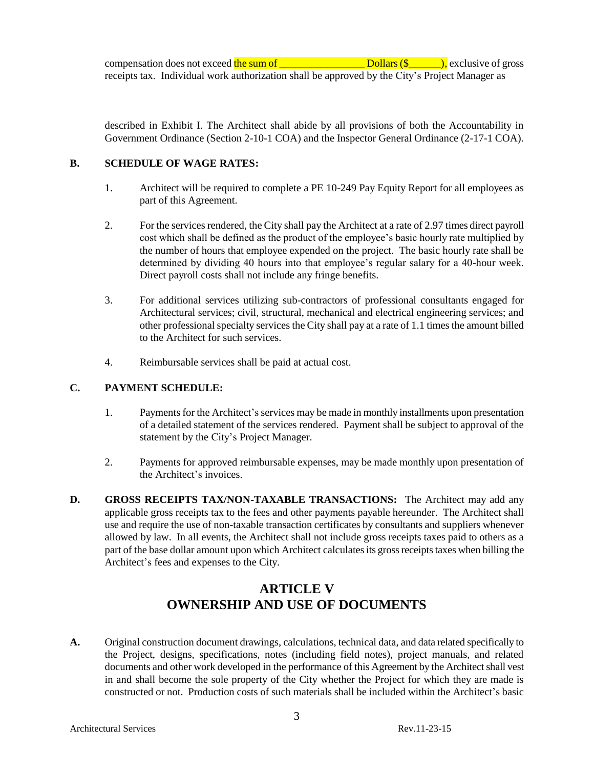compensation does not exceed the sum of \_\_\_\_\_\_\_\_\_\_\_\_\_\_\_\_ Dollars (\$\_\_\_\_\_\_), exclusive of gross receipts tax. Individual work authorization shall be approved by the City's Project Manager as

described in Exhibit I. The Architect shall abide by all provisions of both the Accountability in Government Ordinance (Section 2-10-1 COA) and the Inspector General Ordinance (2-17-1 COA).

#### **B. SCHEDULE OF WAGE RATES:**

- 1. Architect will be required to complete a PE 10-249 Pay Equity Report for all employees as part of this Agreement.
- 2. For the services rendered, the City shall pay the Architect at a rate of 2.97 times direct payroll cost which shall be defined as the product of the employee's basic hourly rate multiplied by the number of hours that employee expended on the project. The basic hourly rate shall be determined by dividing 40 hours into that employee's regular salary for a 40-hour week. Direct payroll costs shall not include any fringe benefits.
- 3. For additional services utilizing sub-contractors of professional consultants engaged for Architectural services; civil, structural, mechanical and electrical engineering services; and other professional specialty services the City shall pay at a rate of 1.1 timesthe amount billed to the Architect for such services.
- 4. Reimbursable services shall be paid at actual cost.

#### **C. PAYMENT SCHEDULE:**

- 1. Payments for the Architect'sservices may be made in monthly installments upon presentation of a detailed statement of the services rendered. Payment shall be subject to approval of the statement by the City's Project Manager.
- 2. Payments for approved reimbursable expenses, may be made monthly upon presentation of the Architect's invoices.
- **D. GROSS RECEIPTS TAX/NON-TAXABLE TRANSACTIONS:** The Architect may add any applicable gross receipts tax to the fees and other payments payable hereunder. The Architect shall use and require the use of non-taxable transaction certificates by consultants and suppliers whenever allowed by law. In all events, the Architect shall not include gross receipts taxes paid to others as a part of the base dollar amount upon which Architect calculates its gross receipts taxes when billing the Architect's fees and expenses to the City.

# **ARTICLE V OWNERSHIP AND USE OF DOCUMENTS**

**A.** Original construction document drawings, calculations, technical data, and data related specifically to the Project, designs, specifications, notes (including field notes), project manuals, and related documents and other work developed in the performance of this Agreement by the Architect shall vest in and shall become the sole property of the City whether the Project for which they are made is constructed or not. Production costs of such materials shall be included within the Architect's basic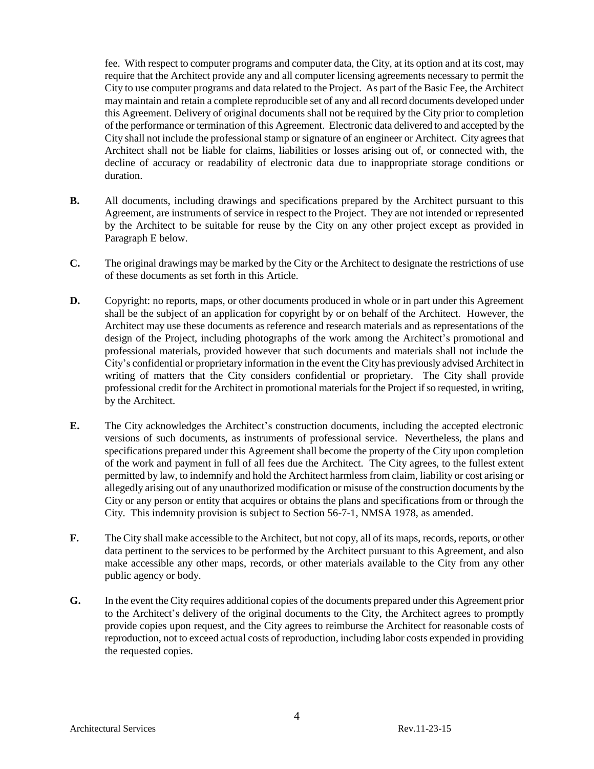fee. With respect to computer programs and computer data, the City, at its option and at its cost, may require that the Architect provide any and all computer licensing agreements necessary to permit the City to use computer programs and data related to the Project. As part of the Basic Fee, the Architect may maintain and retain a complete reproducible set of any and all record documents developed under this Agreement. Delivery of original documents shall not be required by the City prior to completion of the performance or termination of this Agreement. Electronic data delivered to and accepted by the City shall not include the professional stamp or signature of an engineer or Architect. City agrees that Architect shall not be liable for claims, liabilities or losses arising out of, or connected with, the decline of accuracy or readability of electronic data due to inappropriate storage conditions or duration.

- **B.** All documents, including drawings and specifications prepared by the Architect pursuant to this Agreement, are instruments of service in respect to the Project. They are not intended or represented by the Architect to be suitable for reuse by the City on any other project except as provided in Paragraph E below.
- **C.** The original drawings may be marked by the City or the Architect to designate the restrictions of use of these documents as set forth in this Article.
- **D.** Copyright: no reports, maps, or other documents produced in whole or in part under this Agreement shall be the subject of an application for copyright by or on behalf of the Architect. However, the Architect may use these documents as reference and research materials and as representations of the design of the Project, including photographs of the work among the Architect's promotional and professional materials, provided however that such documents and materials shall not include the City's confidential or proprietary information in the event the City has previously advised Architect in writing of matters that the City considers confidential or proprietary. The City shall provide professional credit for the Architect in promotional materials for the Project if so requested, in writing, by the Architect.
- **E.** The City acknowledges the Architect's construction documents, including the accepted electronic versions of such documents, as instruments of professional service. Nevertheless, the plans and specifications prepared under this Agreement shall become the property of the City upon completion of the work and payment in full of all fees due the Architect. The City agrees, to the fullest extent permitted by law, to indemnify and hold the Architect harmless from claim, liability or cost arising or allegedly arising out of any unauthorized modification or misuse of the construction documents by the City or any person or entity that acquires or obtains the plans and specifications from or through the City. This indemnity provision is subject to Section 56-7-1, NMSA 1978, as amended.
- **F.** The City shall make accessible to the Architect, but not copy, all of its maps, records, reports, or other data pertinent to the services to be performed by the Architect pursuant to this Agreement, and also make accessible any other maps, records, or other materials available to the City from any other public agency or body.
- **G.** In the event the City requires additional copies of the documents prepared under this Agreement prior to the Architect's delivery of the original documents to the City, the Architect agrees to promptly provide copies upon request, and the City agrees to reimburse the Architect for reasonable costs of reproduction, not to exceed actual costs of reproduction, including labor costs expended in providing the requested copies.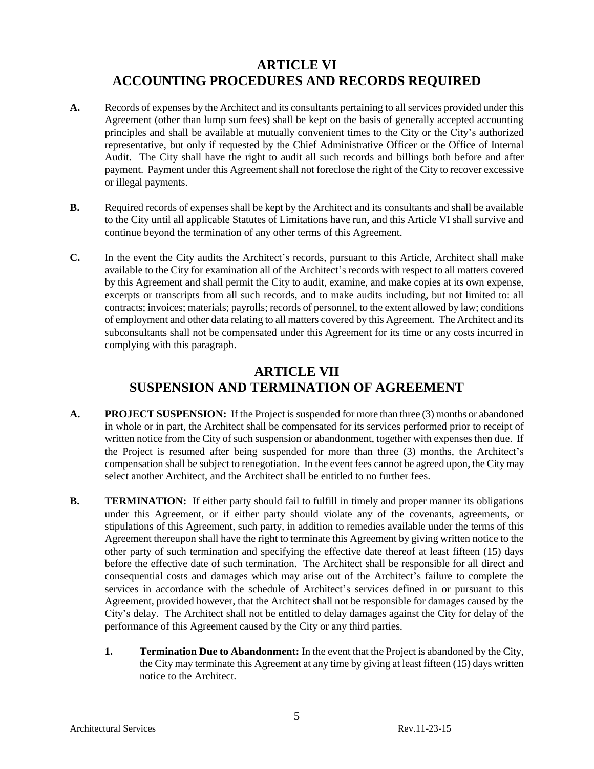## **ARTICLE VI ACCOUNTING PROCEDURES AND RECORDS REQUIRED**

- **A.** Records of expenses by the Architect and its consultants pertaining to all services provided under this Agreement (other than lump sum fees) shall be kept on the basis of generally accepted accounting principles and shall be available at mutually convenient times to the City or the City's authorized representative, but only if requested by the Chief Administrative Officer or the Office of Internal Audit. The City shall have the right to audit all such records and billings both before and after payment. Payment under this Agreement shall not foreclose the right of the City to recover excessive or illegal payments.
- **B.** Required records of expenses shall be kept by the Architect and its consultants and shall be available to the City until all applicable Statutes of Limitations have run, and this Article VI shall survive and continue beyond the termination of any other terms of this Agreement.
- **C.** In the event the City audits the Architect's records, pursuant to this Article, Architect shall make available to the City for examination all of the Architect's records with respect to all matters covered by this Agreement and shall permit the City to audit, examine, and make copies at its own expense, excerpts or transcripts from all such records, and to make audits including, but not limited to: all contracts; invoices; materials; payrolls; records of personnel, to the extent allowed by law; conditions of employment and other data relating to all matters covered by this Agreement. The Architect and its subconsultants shall not be compensated under this Agreement for its time or any costs incurred in complying with this paragraph.

## **ARTICLE VII SUSPENSION AND TERMINATION OF AGREEMENT**

- **A. PROJECT SUSPENSION:** If the Project is suspended for more than three (3) months or abandoned in whole or in part, the Architect shall be compensated for its services performed prior to receipt of written notice from the City of such suspension or abandonment, together with expenses then due. If the Project is resumed after being suspended for more than three (3) months, the Architect's compensation shall be subject to renegotiation. In the event fees cannot be agreed upon, the Citymay select another Architect, and the Architect shall be entitled to no further fees.
- **B. TERMINATION:** If either party should fail to fulfill in timely and proper manner its obligations under this Agreement, or if either party should violate any of the covenants, agreements, or stipulations of this Agreement, such party, in addition to remedies available under the terms of this Agreement thereupon shall have the right to terminate this Agreement by giving written notice to the other party of such termination and specifying the effective date thereof at least fifteen (15) days before the effective date of such termination. The Architect shall be responsible for all direct and consequential costs and damages which may arise out of the Architect's failure to complete the services in accordance with the schedule of Architect's services defined in or pursuant to this Agreement, provided however, that the Architect shall not be responsible for damages caused by the City's delay. The Architect shall not be entitled to delay damages against the City for delay of the performance of this Agreement caused by the City or any third parties.
	- **1. Termination Due to Abandonment:** In the event that the Project is abandoned by the City, the City may terminate this Agreement at any time by giving at least fifteen (15) days written notice to the Architect.

5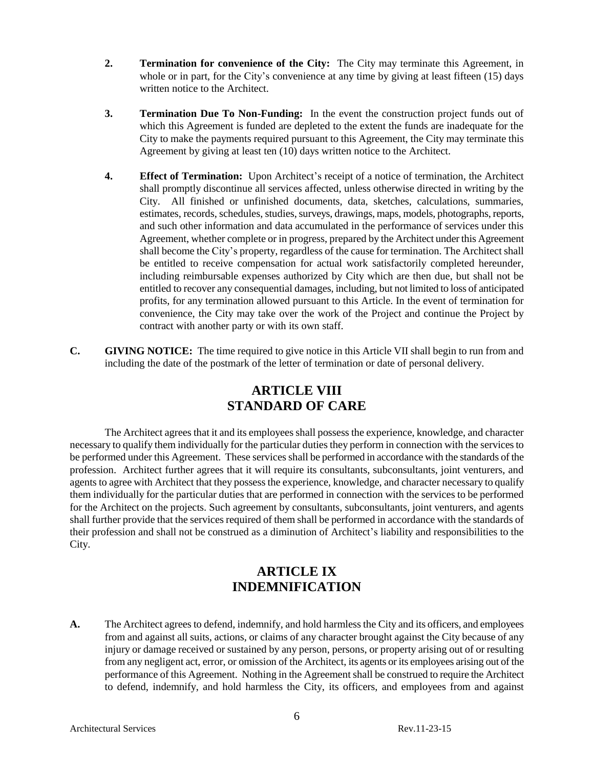- **2. Termination for convenience of the City:** The City may terminate this Agreement, in whole or in part, for the City's convenience at any time by giving at least fifteen (15) days written notice to the Architect.
- **3. Termination Due To Non-Funding:** In the event the construction project funds out of which this Agreement is funded are depleted to the extent the funds are inadequate for the City to make the payments required pursuant to this Agreement, the City may terminate this Agreement by giving at least ten (10) days written notice to the Architect.
- **4. Effect of Termination:** Upon Architect's receipt of a notice of termination, the Architect shall promptly discontinue all services affected, unless otherwise directed in writing by the City. All finished or unfinished documents, data, sketches, calculations, summaries, estimates, records, schedules, studies, surveys, drawings, maps, models, photographs, reports, and such other information and data accumulated in the performance of services under this Agreement, whether complete or in progress, prepared by the Architect under this Agreement shall become the City's property, regardless of the cause for termination. The Architect shall be entitled to receive compensation for actual work satisfactorily completed hereunder, including reimbursable expenses authorized by City which are then due, but shall not be entitled to recover any consequential damages, including, but not limited to loss of anticipated profits, for any termination allowed pursuant to this Article. In the event of termination for convenience, the City may take over the work of the Project and continue the Project by contract with another party or with its own staff.
- **C. GIVING NOTICE:** The time required to give notice in this Article VII shall begin to run from and including the date of the postmark of the letter of termination or date of personal delivery.

# **ARTICLE VIII STANDARD OF CARE**

The Architect agrees that it and its employees shall possess the experience, knowledge, and character necessary to qualify them individually for the particular duties they perform in connection with the services to be performed under this Agreement. These services shall be performed in accordance with the standards of the profession. Architect further agrees that it will require its consultants, subconsultants, joint venturers, and agents to agree with Architect that they possess the experience, knowledge, and character necessary to qualify them individually for the particular duties that are performed in connection with the services to be performed for the Architect on the projects. Such agreement by consultants, subconsultants, joint venturers, and agents shall further provide that the services required of them shall be performed in accordance with the standards of their profession and shall not be construed as a diminution of Architect's liability and responsibilities to the City.

# **ARTICLE IX INDEMNIFICATION**

**A.** The Architect agrees to defend, indemnify, and hold harmless the City and its officers, and employees from and against all suits, actions, or claims of any character brought against the City because of any injury or damage received or sustained by any person, persons, or property arising out of or resulting from any negligent act, error, or omission of the Architect, its agents or its employees arising out of the performance of this Agreement. Nothing in the Agreement shall be construed to require the Architect to defend, indemnify, and hold harmless the City, its officers, and employees from and against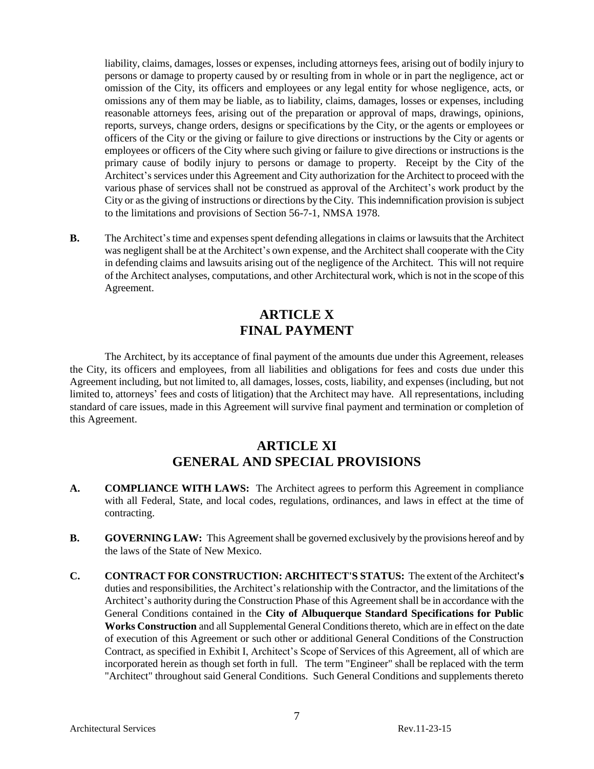liability, claims, damages, losses or expenses, including attorneys fees, arising out of bodily injury to persons or damage to property caused by or resulting from in whole or in part the negligence, act or omission of the City, its officers and employees or any legal entity for whose negligence, acts, or omissions any of them may be liable, as to liability, claims, damages, losses or expenses, including reasonable attorneys fees, arising out of the preparation or approval of maps, drawings, opinions, reports, surveys, change orders, designs or specifications by the City, or the agents or employees or officers of the City or the giving or failure to give directions or instructions by the City or agents or employees or officers of the City where such giving or failure to give directions or instructions is the primary cause of bodily injury to persons or damage to property. Receipt by the City of the Architect's services under this Agreement and City authorization for the Architect to proceed with the various phase of services shall not be construed as approval of the Architect's work product by the City or as the giving of instructions or directions by the City. This indemnification provision is subject to the limitations and provisions of Section 56-7-1, NMSA 1978.

**B.** The Architect's time and expenses spent defending allegations in claims or lawsuits that the Architect was negligent shall be at the Architect's own expense, and the Architect shall cooperate with the City in defending claims and lawsuits arising out of the negligence of the Architect. This will not require of the Architect analyses, computations, and other Architectural work, which is not in the scope of this Agreement.

# **ARTICLE X FINAL PAYMENT**

The Architect, by its acceptance of final payment of the amounts due under this Agreement, releases the City, its officers and employees, from all liabilities and obligations for fees and costs due under this Agreement including, but not limited to, all damages, losses, costs, liability, and expenses (including, but not limited to, attorneys' fees and costs of litigation) that the Architect may have. All representations, including standard of care issues, made in this Agreement will survive final payment and termination or completion of this Agreement.

## **ARTICLE XI GENERAL AND SPECIAL PROVISIONS**

- **A. COMPLIANCE WITH LAWS:** The Architect agrees to perform this Agreement in compliance with all Federal, State, and local codes, regulations, ordinances, and laws in effect at the time of contracting.
- **B. GOVERNING LAW:** This Agreement shall be governed exclusively by the provisions hereof and by the laws of the State of New Mexico.
- **C. CONTRACT FOR CONSTRUCTION: ARCHITECT'S STATUS:** The extent of the Architect**'s**  duties and responsibilities, the Architect's relationship with the Contractor, and the limitations of the Architect's authority during the Construction Phase of this Agreement shall be in accordance with the General Conditions contained in the **City of Albuquerque Standard Specifications for Public Works Construction** and all Supplemental General Conditions thereto, which are in effect on the date of execution of this Agreement or such other or additional General Conditions of the Construction Contract, as specified in Exhibit I, Architect's Scope of Services of this Agreement, all of which are incorporated herein as though set forth in full. The term "Engineer" shall be replaced with the term "Architect" throughout said General Conditions. Such General Conditions and supplements thereto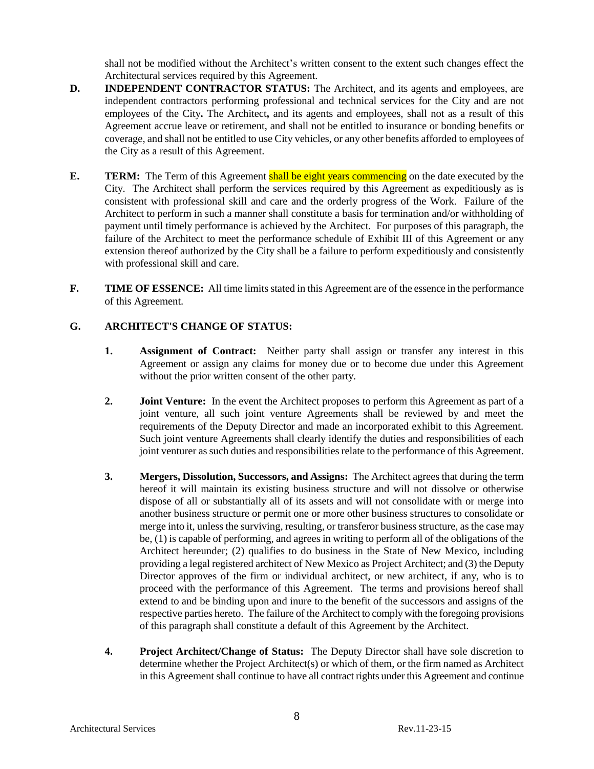shall not be modified without the Architect's written consent to the extent such changes effect the Architectural services required by this Agreement.

- **D. INDEPENDENT CONTRACTOR STATUS:** The Architect, and its agents and employees, are independent contractors performing professional and technical services for the City and are not employees of the City**.** The Architect**,** and its agents and employees, shall not as a result of this Agreement accrue leave or retirement, and shall not be entitled to insurance or bonding benefits or coverage, and shall not be entitled to use City vehicles, or any other benefits afforded to employees of the City as a result of this Agreement.
- **E. TERM:** The Term of this Agreement shall be eight years commencing on the date executed by the City. The Architect shall perform the services required by this Agreement as expeditiously as is consistent with professional skill and care and the orderly progress of the Work. Failure of the Architect to perform in such a manner shall constitute a basis for termination and/or withholding of payment until timely performance is achieved by the Architect. For purposes of this paragraph, the failure of the Architect to meet the performance schedule of Exhibit III of this Agreement or any extension thereof authorized by the City shall be a failure to perform expeditiously and consistently with professional skill and care.
- **F. TIME OF ESSENCE:** All time limits stated in this Agreement are of the essence in the performance of this Agreement.

#### **G. ARCHITECT'S CHANGE OF STATUS:**

- **1. Assignment of Contract:** Neither party shall assign or transfer any interest in this Agreement or assign any claims for money due or to become due under this Agreement without the prior written consent of the other party.
- **2. Joint Venture:** In the event the Architect proposes to perform this Agreement as part of a joint venture, all such joint venture Agreements shall be reviewed by and meet the requirements of the Deputy Director and made an incorporated exhibit to this Agreement. Such joint venture Agreements shall clearly identify the duties and responsibilities of each joint venturer as such duties and responsibilities relate to the performance of this Agreement.
- **3. Mergers, Dissolution, Successors, and Assigns:** The Architect agrees that during the term hereof it will maintain its existing business structure and will not dissolve or otherwise dispose of all or substantially all of its assets and will not consolidate with or merge into another business structure or permit one or more other business structures to consolidate or merge into it, unless the surviving, resulting, or transferor business structure, as the case may be, (1) is capable of performing, and agrees in writing to perform all of the obligations of the Architect hereunder; (2) qualifies to do business in the State of New Mexico, including providing a legal registered architect of New Mexico as Project Architect; and (3) the Deputy Director approves of the firm or individual architect, or new architect, if any, who is to proceed with the performance of this Agreement. The terms and provisions hereof shall extend to and be binding upon and inure to the benefit of the successors and assigns of the respective parties hereto. The failure of the Architect to comply with the foregoing provisions of this paragraph shall constitute a default of this Agreement by the Architect.
- **4. Project Architect/Change of Status:** The Deputy Director shall have sole discretion to determine whether the Project Architect(s) or which of them, or the firm named as Architect in this Agreement shall continue to have all contract rights under this Agreement and continue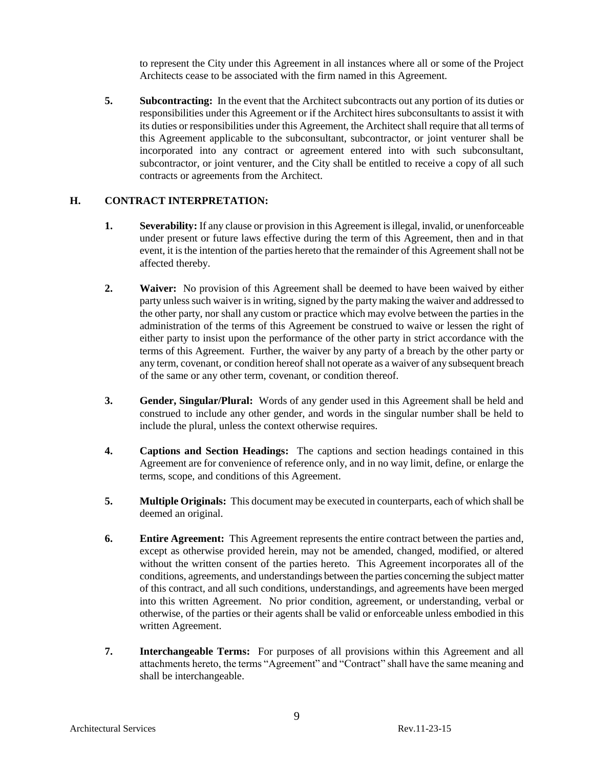to represent the City under this Agreement in all instances where all or some of the Project Architects cease to be associated with the firm named in this Agreement.

**5. Subcontracting:** In the event that the Architect subcontracts out any portion of its duties or responsibilities under this Agreement or if the Architect hires subconsultants to assist it with its duties or responsibilities under this Agreement, the Architect shall require that all terms of this Agreement applicable to the subconsultant, subcontractor, or joint venturer shall be incorporated into any contract or agreement entered into with such subconsultant, subcontractor, or joint venturer, and the City shall be entitled to receive a copy of all such contracts or agreements from the Architect.

#### **H. CONTRACT INTERPRETATION:**

- **1. Severability:** If any clause or provision in this Agreement is illegal, invalid, or unenforceable under present or future laws effective during the term of this Agreement, then and in that event, it is the intention of the parties hereto that the remainder of this Agreement shall not be affected thereby.
- **2. Waiver:** No provision of this Agreement shall be deemed to have been waived by either party unless such waiver is in writing, signed by the party making the waiver and addressed to the other party, nor shall any custom or practice which may evolve between the parties in the administration of the terms of this Agreement be construed to waive or lessen the right of either party to insist upon the performance of the other party in strict accordance with the terms of this Agreement. Further, the waiver by any party of a breach by the other party or any term, covenant, or condition hereof shall not operate as a waiver of any subsequent breach of the same or any other term, covenant, or condition thereof.
- **3. Gender, Singular/Plural:** Words of any gender used in this Agreement shall be held and construed to include any other gender, and words in the singular number shall be held to include the plural, unless the context otherwise requires.
- **4. Captions and Section Headings:** The captions and section headings contained in this Agreement are for convenience of reference only, and in no way limit, define, or enlarge the terms, scope, and conditions of this Agreement.
- **5. Multiple Originals:** This document may be executed in counterparts, each of which shall be deemed an original.
- **6. Entire Agreement:** This Agreement represents the entire contract between the parties and, except as otherwise provided herein, may not be amended, changed, modified, or altered without the written consent of the parties hereto. This Agreement incorporates all of the conditions, agreements, and understandings between the parties concerning the subject matter of this contract, and all such conditions, understandings, and agreements have been merged into this written Agreement. No prior condition, agreement, or understanding, verbal or otherwise, of the parties or their agents shall be valid or enforceable unless embodied in this written Agreement.
- **7. Interchangeable Terms:** For purposes of all provisions within this Agreement and all attachments hereto, the terms "Agreement" and "Contract" shall have the same meaning and shall be interchangeable.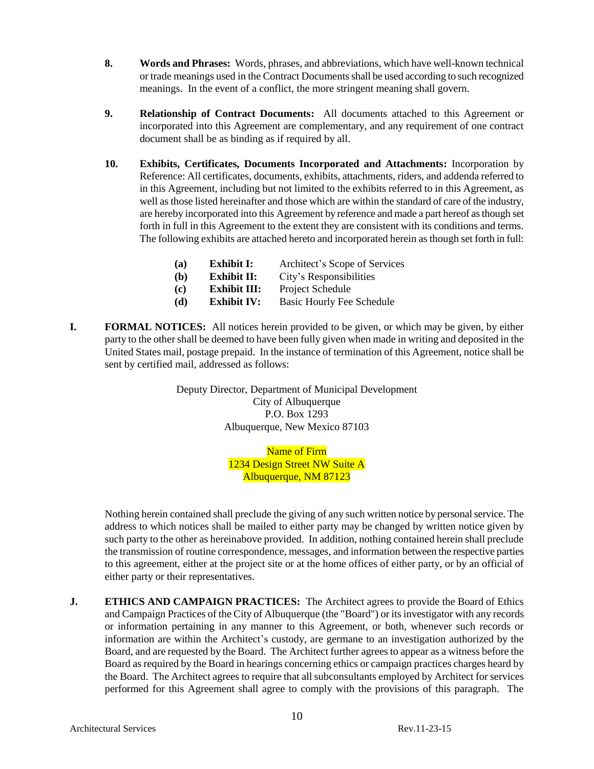- **8. Words and Phrases:** Words, phrases, and abbreviations, which have well-known technical or trade meanings used in the Contract Documents shall be used according to such recognized meanings. In the event of a conflict, the more stringent meaning shall govern.
- **9. Relationship of Contract Documents:** All documents attached to this Agreement or incorporated into this Agreement are complementary, and any requirement of one contract document shall be as binding as if required by all.
- **10. Exhibits, Certificates, Documents Incorporated and Attachments:** Incorporation by Reference: All certificates, documents, exhibits, attachments, riders, and addenda referred to in this Agreement, including but not limited to the exhibits referred to in this Agreement, as well as those listed hereinafter and those which are within the standard of care of the industry, are hereby incorporated into this Agreement by reference and made a part hereof as though set forth in full in this Agreement to the extent they are consistent with its conditions and terms. The following exhibits are attached hereto and incorporated herein as though set forth in full:

| (a)                         | <b>Exhibit I:</b>   | Architect's Scope of Services    |
|-----------------------------|---------------------|----------------------------------|
| (b)                         | <b>Exhibit II:</b>  | City's Responsibilities          |
| $\left( \mathbf{c} \right)$ | <b>Exhibit III:</b> | Project Schedule                 |
| (d)                         | <b>Exhibit IV:</b>  | <b>Basic Hourly Fee Schedule</b> |

**I. FORMAL NOTICES:** All notices herein provided to be given, or which may be given, by either party to the other shall be deemed to have been fully given when made in writing and deposited in the United States mail, postage prepaid. In the instance of termination of this Agreement, notice shall be sent by certified mail, addressed as follows:

> Deputy Director, Department of Municipal Development City of Albuquerque P.O. Box 1293 Albuquerque, New Mexico 87103

> > Name of Firm 1234 Design Street NW Suite A Albuquerque, NM 87123

Nothing herein contained shall preclude the giving of any such written notice by personal service. The address to which notices shall be mailed to either party may be changed by written notice given by such party to the other as hereinabove provided. In addition, nothing contained herein shall preclude the transmission of routine correspondence, messages, and information between the respective parties to this agreement, either at the project site or at the home offices of either party, or by an official of either party or their representatives.

**J. ETHICS AND CAMPAIGN PRACTICES:** The Architect agrees to provide the Board of Ethics and Campaign Practices of the City of Albuquerque (the "Board") or its investigator with any records or information pertaining in any manner to this Agreement, or both, whenever such records or information are within the Architect's custody, are germane to an investigation authorized by the Board, and are requested by the Board. The Architect further agrees to appear as a witness before the Board as required by the Board in hearings concerning ethics or campaign practices charges heard by the Board. The Architect agrees to require that all subconsultants employed by Architect for services performed for this Agreement shall agree to comply with the provisions of this paragraph. The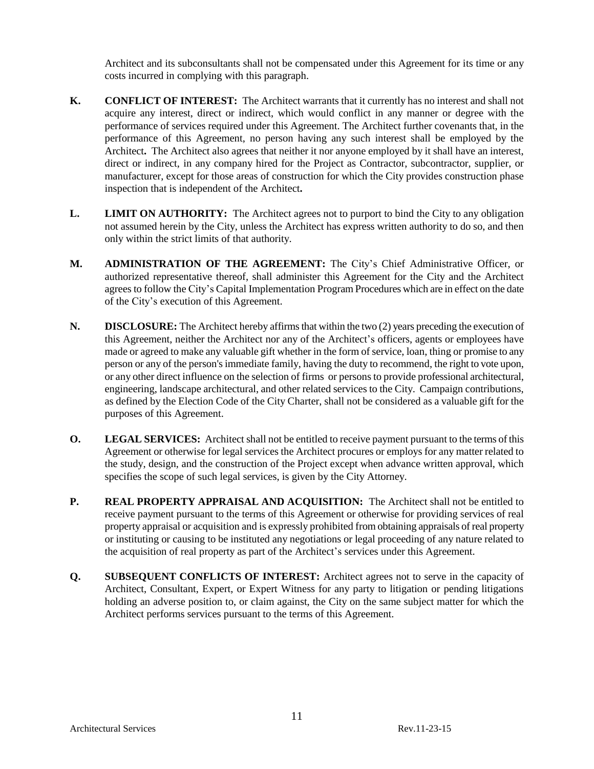Architect and its subconsultants shall not be compensated under this Agreement for its time or any costs incurred in complying with this paragraph.

- **K. CONFLICT OF INTEREST:** The Architect warrants that it currently has no interest and shall not acquire any interest, direct or indirect, which would conflict in any manner or degree with the performance of services required under this Agreement. The Architect further covenants that, in the performance of this Agreement, no person having any such interest shall be employed by the Architect**.** The Architect also agrees that neither it nor anyone employed by it shall have an interest, direct or indirect, in any company hired for the Project as Contractor, subcontractor, supplier, or manufacturer, except for those areas of construction for which the City provides construction phase inspection that is independent of the Architect**.**
- **L. LIMIT ON AUTHORITY:** The Architect agrees not to purport to bind the City to any obligation not assumed herein by the City, unless the Architect has express written authority to do so, and then only within the strict limits of that authority.
- **M. ADMINISTRATION OF THE AGREEMENT:** The City's Chief Administrative Officer, or authorized representative thereof, shall administer this Agreement for the City and the Architect agrees to follow the City's Capital Implementation Program Procedures which are in effect on the date of the City's execution of this Agreement.
- **N. DISCLOSURE:** The Architect hereby affirms that within the two (2) years preceding the execution of this Agreement, neither the Architect nor any of the Architect's officers, agents or employees have made or agreed to make any valuable gift whether in the form of service, loan, thing or promise to any person or any of the person's immediate family, having the duty to recommend, the right to vote upon, or any other direct influence on the selection of firms or persons to provide professional architectural, engineering, landscape architectural, and other related services to the City. Campaign contributions, as defined by the Election Code of the City Charter, shall not be considered as a valuable gift for the purposes of this Agreement.
- **O. LEGAL SERVICES:** Architect shall not be entitled to receive payment pursuant to the terms of this Agreement or otherwise for legal services the Architect procures or employs for any matter related to the study, design, and the construction of the Project except when advance written approval, which specifies the scope of such legal services, is given by the City Attorney.
- **P. REAL PROPERTY APPRAISAL AND ACQUISITION:** The Architect shall not be entitled to receive payment pursuant to the terms of this Agreement or otherwise for providing services of real property appraisal or acquisition and is expressly prohibited from obtaining appraisals of real property or instituting or causing to be instituted any negotiations or legal proceeding of any nature related to the acquisition of real property as part of the Architect's services under this Agreement.
- **Q. SUBSEQUENT CONFLICTS OF INTEREST:** Architect agrees not to serve in the capacity of Architect, Consultant, Expert, or Expert Witness for any party to litigation or pending litigations holding an adverse position to, or claim against, the City on the same subject matter for which the Architect performs services pursuant to the terms of this Agreement.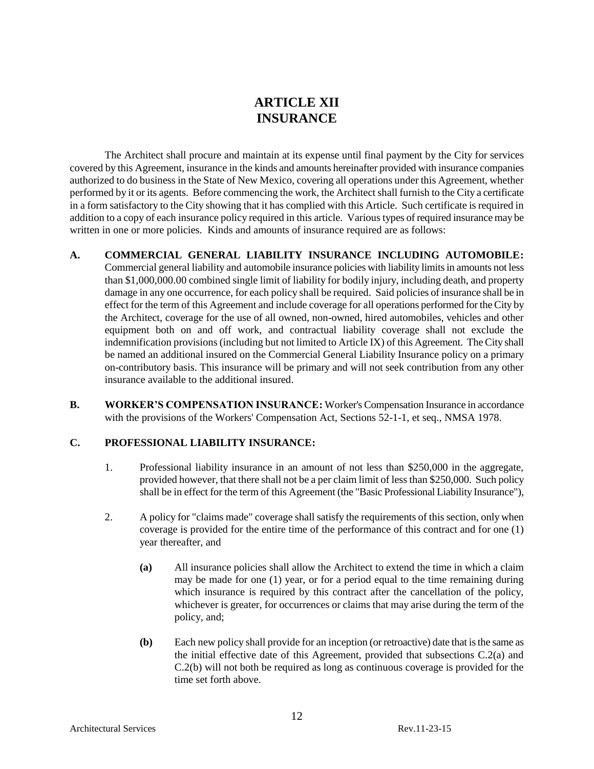# **ARTICLE XII INSURANCE**

The Architect shall procure and maintain at its expense until final payment by the City for services covered by this Agreement, insurance in the kinds and amounts hereinafter provided with insurance companies authorized to do business in the State of New Mexico, covering all operations under this Agreement, whether performed by it or its agents. Before commencing the work, the Architect shall furnish to the City a certificate in a form satisfactory to the City showing that it has complied with this Article. Such certificate is required in addition to a copy of each insurance policy required in this article. Various types of required insurance may be written in one or more policies. Kinds and amounts of insurance required are as follows:

- **A. COMMERCIAL GENERAL LIABILITY INSURANCE INCLUDING AUTOMOBILE:**  Commercial general liability and automobile insurance policies with liability limits in amounts not less than \$1,000,000.00 combined single limit of liability for bodily injury, including death, and property damage in any one occurrence, for each policy shall be required. Said policies of insurance shall be in effect for the term of this Agreement and include coverage for all operations performed for the City by the Architect, coverage for the use of all owned, non-owned, hired automobiles, vehicles and other equipment both on and off work, and contractual liability coverage shall not exclude the indemnification provisions (including but not limited to Article IX) of this Agreement. The City shall be named an additional insured on the Commercial General Liability Insurance policy on a primary on-contributory basis. This insurance will be primary and will not seek contribution from any other insurance available to the additional insured.
- **B. WORKER'S COMPENSATION INSURANCE:** Worker's Compensation Insurance in accordance with the provisions of the Workers' Compensation Act, Sections 52-1-1, et seq., NMSA 1978.

#### **C. PROFESSIONAL LIABILITY INSURANCE:**

- 1. Professional liability insurance in an amount of not less than \$250,000 in the aggregate, provided however, that there shall not be a per claim limit of less than \$250,000. Such policy shall be in effect for the term of this Agreement (the "Basic Professional Liability Insurance"),
- 2. A policy for "claims made" coverage shall satisfy the requirements of this section, only when coverage is provided for the entire time of the performance of this contract and for one (1) year thereafter, and
	- **(a)** All insurance policies shall allow the Architect to extend the time in which a claim may be made for one (1) year, or for a period equal to the time remaining during which insurance is required by this contract after the cancellation of the policy, whichever is greater, for occurrences or claims that may arise during the term of the policy, and;
	- **(b)** Each new policy shall provide for an inception (or retroactive) date that is the same as the initial effective date of this Agreement, provided that subsections C.2(a) and C.2(b) will not both be required as long as continuous coverage is provided for the time set forth above.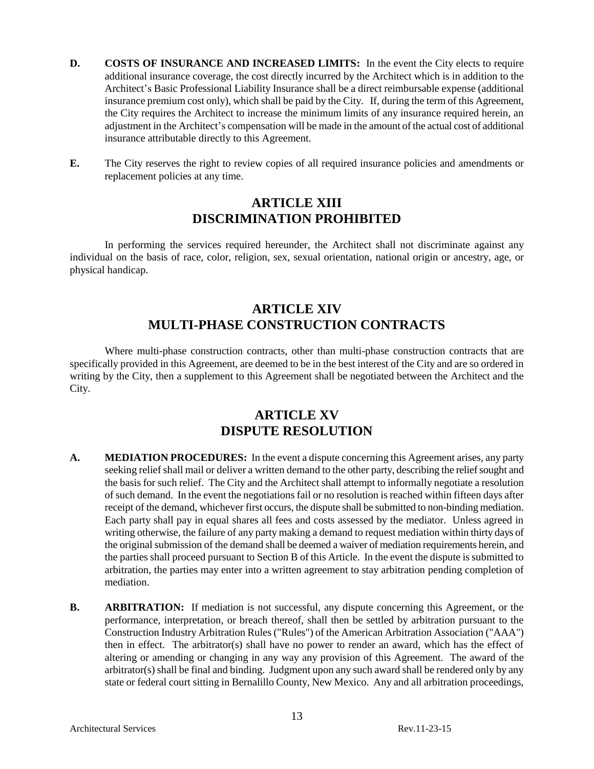- **D. COSTS OF INSURANCE AND INCREASED LIMITS:** In the event the City elects to require additional insurance coverage, the cost directly incurred by the Architect which is in addition to the Architect's Basic Professional Liability Insurance shall be a direct reimbursable expense (additional insurance premium cost only), which shall be paid by the City. If, during the term of this Agreement, the City requires the Architect to increase the minimum limits of any insurance required herein, an adjustment in the Architect's compensation will be made in the amount of the actual cost of additional insurance attributable directly to this Agreement.
- **E.** The City reserves the right to review copies of all required insurance policies and amendments or replacement policies at any time.

## **ARTICLE XIII DISCRIMINATION PROHIBITED**

In performing the services required hereunder, the Architect shall not discriminate against any individual on the basis of race, color, religion, sex, sexual orientation, national origin or ancestry, age, or physical handicap.

# **ARTICLE XIV MULTI-PHASE CONSTRUCTION CONTRACTS**

Where multi-phase construction contracts, other than multi-phase construction contracts that are specifically provided in this Agreement, are deemed to be in the best interest of the City and are so ordered in writing by the City, then a supplement to this Agreement shall be negotiated between the Architect and the City.

## **ARTICLE XV DISPUTE RESOLUTION**

- **A. MEDIATION PROCEDURES:** In the event a dispute concerning this Agreement arises, any party seeking relief shall mail or deliver a written demand to the other party, describing the relief sought and the basis for such relief. The City and the Architect shall attempt to informally negotiate a resolution of such demand. In the event the negotiations fail or no resolution is reached within fifteen days after receipt of the demand, whichever first occurs, the dispute shall be submitted to non-binding mediation. Each party shall pay in equal shares all fees and costs assessed by the mediator. Unless agreed in writing otherwise, the failure of any party making a demand to request mediation within thirty days of the original submission of the demand shall be deemed a waiver of mediation requirements herein, and the parties shall proceed pursuant to Section B of this Article. In the event the dispute is submitted to arbitration, the parties may enter into a written agreement to stay arbitration pending completion of mediation.
- **B. ARBITRATION:** If mediation is not successful, any dispute concerning this Agreement, or the performance, interpretation, or breach thereof, shall then be settled by arbitration pursuant to the Construction Industry Arbitration Rules ("Rules") of the American Arbitration Association ("AAA") then in effect. The arbitrator(s) shall have no power to render an award, which has the effect of altering or amending or changing in any way any provision of this Agreement. The award of the arbitrator(s) shall be final and binding. Judgment upon any such award shall be rendered only by any state or federal court sitting in Bernalillo County, New Mexico. Any and all arbitration proceedings,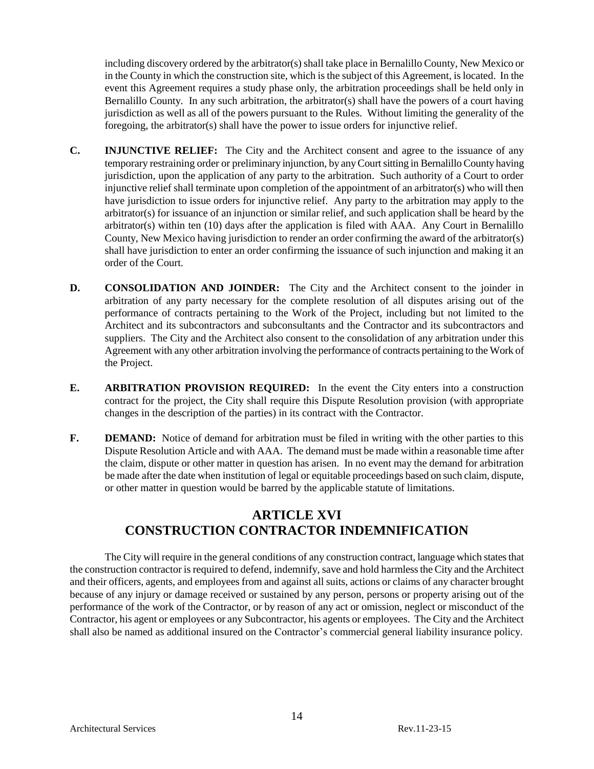including discovery ordered by the arbitrator(s) shall take place in Bernalillo County, New Mexico or in the County in which the construction site, which is the subject of this Agreement, is located. In the event this Agreement requires a study phase only, the arbitration proceedings shall be held only in Bernalillo County. In any such arbitration, the arbitrator(s) shall have the powers of a court having jurisdiction as well as all of the powers pursuant to the Rules. Without limiting the generality of the foregoing, the arbitrator(s) shall have the power to issue orders for injunctive relief.

- **C. INJUNCTIVE RELIEF:** The City and the Architect consent and agree to the issuance of any temporary restraining order or preliminary injunction, by any Court sitting in Bernalillo County having jurisdiction, upon the application of any party to the arbitration. Such authority of a Court to order injunctive relief shall terminate upon completion of the appointment of an arbitrator(s) who will then have jurisdiction to issue orders for injunctive relief. Any party to the arbitration may apply to the arbitrator(s) for issuance of an injunction or similar relief, and such application shall be heard by the arbitrator(s) within ten (10) days after the application is filed with AAA. Any Court in Bernalillo County, New Mexico having jurisdiction to render an order confirming the award of the arbitrator(s) shall have jurisdiction to enter an order confirming the issuance of such injunction and making it an order of the Court.
- **D. CONSOLIDATION AND JOINDER:** The City and the Architect consent to the joinder in arbitration of any party necessary for the complete resolution of all disputes arising out of the performance of contracts pertaining to the Work of the Project, including but not limited to the Architect and its subcontractors and subconsultants and the Contractor and its subcontractors and suppliers. The City and the Architect also consent to the consolidation of any arbitration under this Agreement with any other arbitration involving the performance of contracts pertaining to the Work of the Project.
- **E. ARBITRATION PROVISION REQUIRED:** In the event the City enters into a construction contract for the project, the City shall require this Dispute Resolution provision (with appropriate changes in the description of the parties) in its contract with the Contractor.
- **F. DEMAND:** Notice of demand for arbitration must be filed in writing with the other parties to this Dispute Resolution Article and with AAA. The demand must be made within a reasonable time after the claim, dispute or other matter in question has arisen. In no event may the demand for arbitration be made after the date when institution of legal or equitable proceedings based on such claim, dispute, or other matter in question would be barred by the applicable statute of limitations.

# **ARTICLE XVI CONSTRUCTION CONTRACTOR INDEMNIFICATION**

The City will require in the general conditions of any construction contract, language which states that the construction contractor is required to defend, indemnify, save and hold harmless the City and the Architect and their officers, agents, and employees from and against all suits, actions or claims of any character brought because of any injury or damage received or sustained by any person, persons or property arising out of the performance of the work of the Contractor, or by reason of any act or omission, neglect or misconduct of the Contractor, his agent or employees or any Subcontractor, his agents or employees. The City and the Architect shall also be named as additional insured on the Contractor's commercial general liability insurance policy.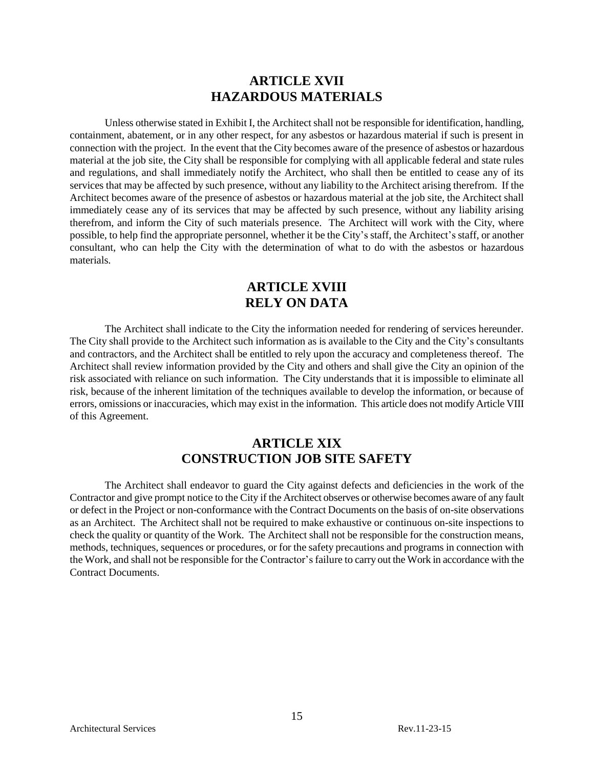## **ARTICLE XVII HAZARDOUS MATERIALS**

Unless otherwise stated in Exhibit I, the Architect shall not be responsible for identification, handling, containment, abatement, or in any other respect, for any asbestos or hazardous material if such is present in connection with the project. In the event that the City becomes aware of the presence of asbestos or hazardous material at the job site, the City shall be responsible for complying with all applicable federal and state rules and regulations, and shall immediately notify the Architect, who shall then be entitled to cease any of its services that may be affected by such presence, without any liability to the Architect arising therefrom. If the Architect becomes aware of the presence of asbestos or hazardous material at the job site, the Architect shall immediately cease any of its services that may be affected by such presence, without any liability arising therefrom, and inform the City of such materials presence. The Architect will work with the City, where possible, to help find the appropriate personnel, whether it be the City's staff, the Architect's staff, or another consultant, who can help the City with the determination of what to do with the asbestos or hazardous materials.

## **ARTICLE XVIII RELY ON DATA**

The Architect shall indicate to the City the information needed for rendering of services hereunder. The City shall provide to the Architect such information as is available to the City and the City's consultants and contractors, and the Architect shall be entitled to rely upon the accuracy and completeness thereof. The Architect shall review information provided by the City and others and shall give the City an opinion of the risk associated with reliance on such information. The City understands that it is impossible to eliminate all risk, because of the inherent limitation of the techniques available to develop the information, or because of errors, omissions or inaccuracies, which may exist in the information. This article does not modify Article VIII of this Agreement.

## **ARTICLE XIX CONSTRUCTION JOB SITE SAFETY**

The Architect shall endeavor to guard the City against defects and deficiencies in the work of the Contractor and give prompt notice to the City if the Architect observes or otherwise becomes aware of any fault or defect in the Project or non-conformance with the Contract Documents on the basis of on-site observations as an Architect. The Architect shall not be required to make exhaustive or continuous on-site inspections to check the quality or quantity of the Work. The Architect shall not be responsible for the construction means, methods, techniques, sequences or procedures, or for the safety precautions and programs in connection with the Work, and shall not be responsible for the Contractor'sfailure to carry out the Work in accordance with the Contract Documents.